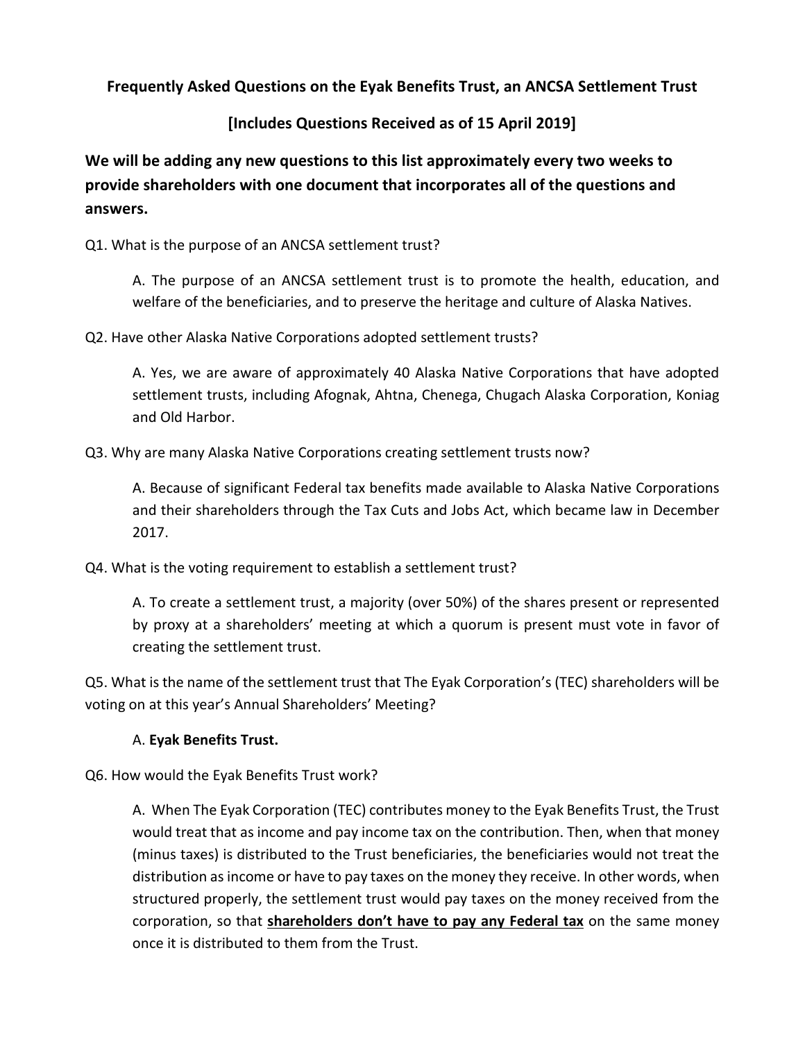**Frequently Asked Questions on the Eyak Benefits Trust, an ANCSA Settlement Trust** 

# **[Includes Questions Received as of 15 April 2019]**

**We will be adding any new questions to this list approximately every two weeks to provide shareholders with one document that incorporates all of the questions and answers.**

Q1. What is the purpose of an ANCSA settlement trust?

A. The purpose of an ANCSA settlement trust is to promote the health, education, and welfare of the beneficiaries, and to preserve the heritage and culture of Alaska Natives.

Q2. Have other Alaska Native Corporations adopted settlement trusts?

A. Yes, we are aware of approximately 40 Alaska Native Corporations that have adopted settlement trusts, including Afognak, Ahtna, Chenega, Chugach Alaska Corporation, Koniag and Old Harbor.

Q3. Why are many Alaska Native Corporations creating settlement trusts now?

A. Because of significant Federal tax benefits made available to Alaska Native Corporations and their shareholders through the Tax Cuts and Jobs Act, which became law in December 2017.

Q4. What is the voting requirement to establish a settlement trust?

A. To create a settlement trust, a majority (over 50%) of the shares present or represented by proxy at a shareholders' meeting at which a quorum is present must vote in favor of creating the settlement trust.

Q5. What is the name of the settlement trust that The Eyak Corporation's (TEC) shareholders will be voting on at this year's Annual Shareholders' Meeting?

## A. **Eyak Benefits Trust.**

Q6. How would the Eyak Benefits Trust work?

A. When The Eyak Corporation (TEC) contributes money to the Eyak Benefits Trust, the Trust would treat that as income and pay income tax on the contribution. Then, when that money (minus taxes) is distributed to the Trust beneficiaries, the beneficiaries would not treat the distribution as income or have to pay taxes on the money they receive. In other words, when structured properly, the settlement trust would pay taxes on the money received from the corporation, so that **shareholders don't have to pay any Federal tax** on the same money once it is distributed to them from the Trust.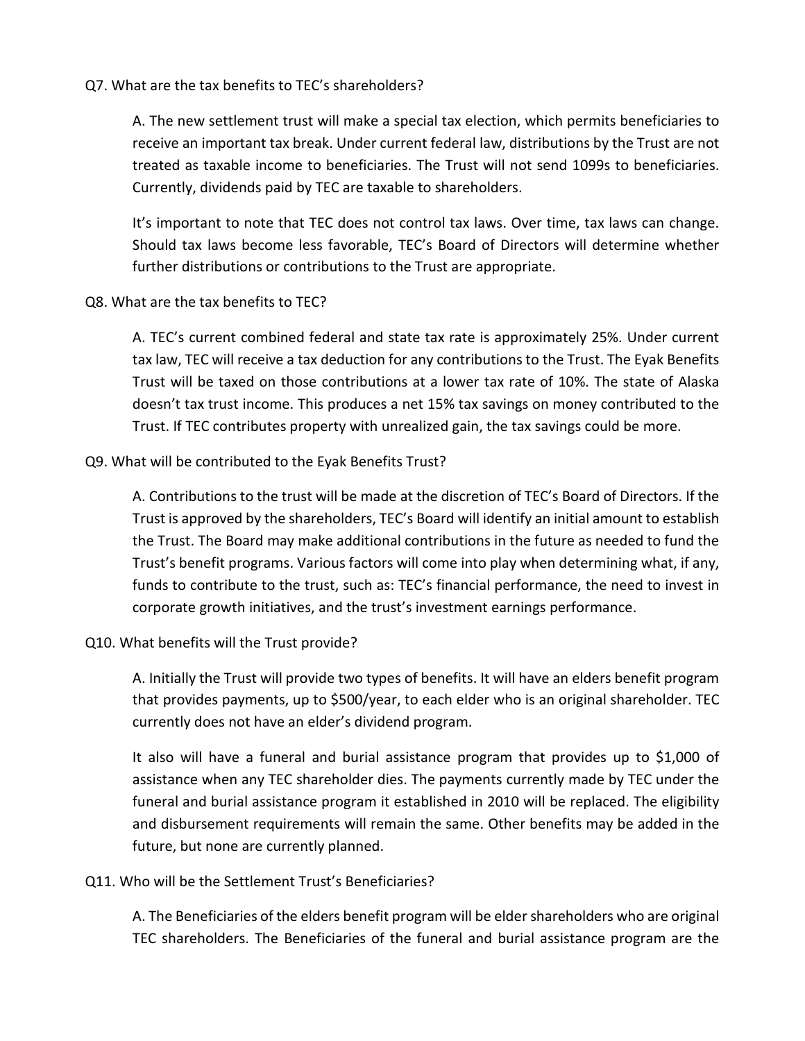#### Q7. What are the tax benefits to TEC's shareholders?

A. The new settlement trust will make a special tax election, which permits beneficiaries to receive an important tax break. Under current federal law, distributions by the Trust are not treated as taxable income to beneficiaries. The Trust will not send 1099s to beneficiaries. Currently, dividends paid by TEC are taxable to shareholders.

It's important to note that TEC does not control tax laws. Over time, tax laws can change. Should tax laws become less favorable, TEC's Board of Directors will determine whether further distributions or contributions to the Trust are appropriate.

#### Q8. What are the tax benefits to TEC?

A. TEC's current combined federal and state tax rate is approximately 25%. Under current tax law, TEC will receive a tax deduction for any contributions to the Trust. The Eyak Benefits Trust will be taxed on those contributions at a lower tax rate of 10%. The state of Alaska doesn't tax trust income. This produces a net 15% tax savings on money contributed to the Trust. If TEC contributes property with unrealized gain, the tax savings could be more.

#### Q9. What will be contributed to the Eyak Benefits Trust?

A. Contributions to the trust will be made at the discretion of TEC's Board of Directors. If the Trust is approved by the shareholders, TEC's Board will identify an initial amount to establish the Trust. The Board may make additional contributions in the future as needed to fund the Trust's benefit programs. Various factors will come into play when determining what, if any, funds to contribute to the trust, such as: TEC's financial performance, the need to invest in corporate growth initiatives, and the trust's investment earnings performance.

#### Q10. What benefits will the Trust provide?

A. Initially the Trust will provide two types of benefits. It will have an elders benefit program that provides payments, up to \$500/year, to each elder who is an original shareholder. TEC currently does not have an elder's dividend program.

It also will have a funeral and burial assistance program that provides up to \$1,000 of assistance when any TEC shareholder dies. The payments currently made by TEC under the funeral and burial assistance program it established in 2010 will be replaced. The eligibility and disbursement requirements will remain the same. Other benefits may be added in the future, but none are currently planned.

#### Q11. Who will be the Settlement Trust's Beneficiaries?

A. The Beneficiaries of the elders benefit program will be elder shareholders who are original TEC shareholders. The Beneficiaries of the funeral and burial assistance program are the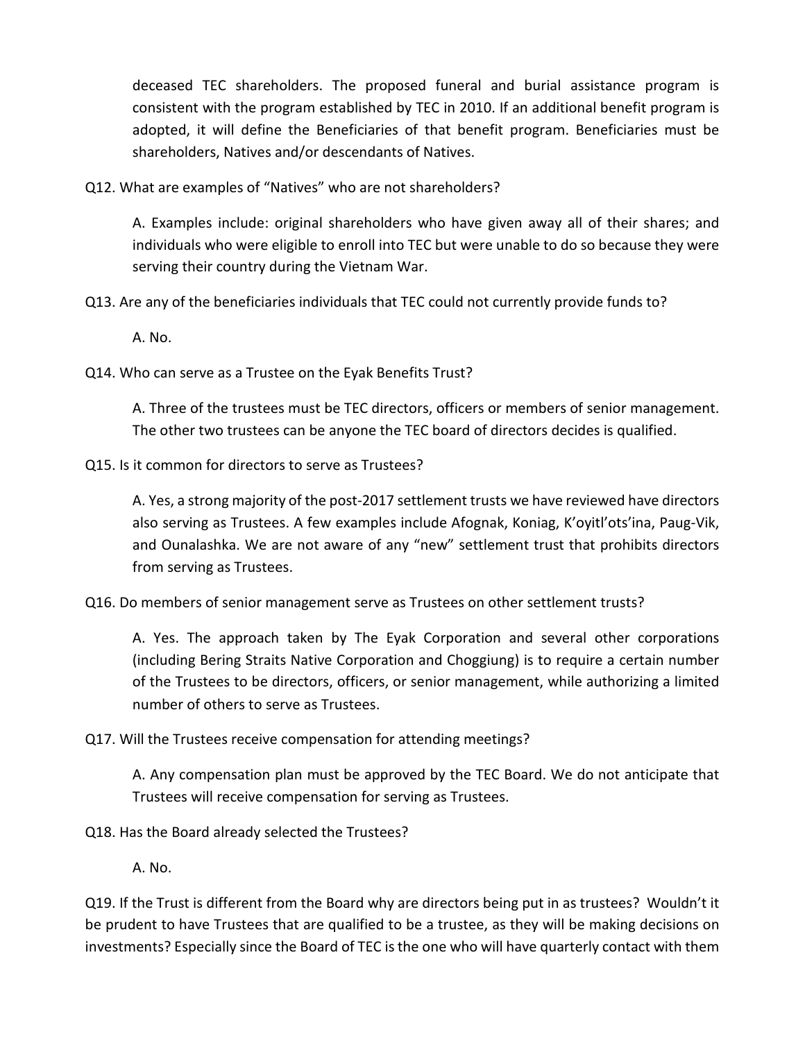deceased TEC shareholders. The proposed funeral and burial assistance program is consistent with the program established by TEC in 2010. If an additional benefit program is adopted, it will define the Beneficiaries of that benefit program. Beneficiaries must be shareholders, Natives and/or descendants of Natives.

Q12. What are examples of "Natives" who are not shareholders?

A. Examples include: original shareholders who have given away all of their shares; and individuals who were eligible to enroll into TEC but were unable to do so because they were serving their country during the Vietnam War.

Q13. Are any of the beneficiaries individuals that TEC could not currently provide funds to?

A. No.

Q14. Who can serve as a Trustee on the Eyak Benefits Trust?

A. Three of the trustees must be TEC directors, officers or members of senior management. The other two trustees can be anyone the TEC board of directors decides is qualified.

Q15. Is it common for directors to serve as Trustees?

A. Yes, a strong majority of the post-2017 settlement trusts we have reviewed have directors also serving as Trustees. A few examples include Afognak, Koniag, K'oyitl'ots'ina, Paug-Vik, and Ounalashka. We are not aware of any "new" settlement trust that prohibits directors from serving as Trustees.

Q16. Do members of senior management serve as Trustees on other settlement trusts?

A. Yes. The approach taken by The Eyak Corporation and several other corporations (including Bering Straits Native Corporation and Choggiung) is to require a certain number of the Trustees to be directors, officers, or senior management, while authorizing a limited number of others to serve as Trustees.

Q17. Will the Trustees receive compensation for attending meetings?

A. Any compensation plan must be approved by the TEC Board. We do not anticipate that Trustees will receive compensation for serving as Trustees.

Q18. Has the Board already selected the Trustees?

A. No.

Q19. If the Trust is different from the Board why are directors being put in as trustees? Wouldn't it be prudent to have Trustees that are qualified to be a trustee, as they will be making decisions on investments? Especially since the Board of TEC is the one who will have quarterly contact with them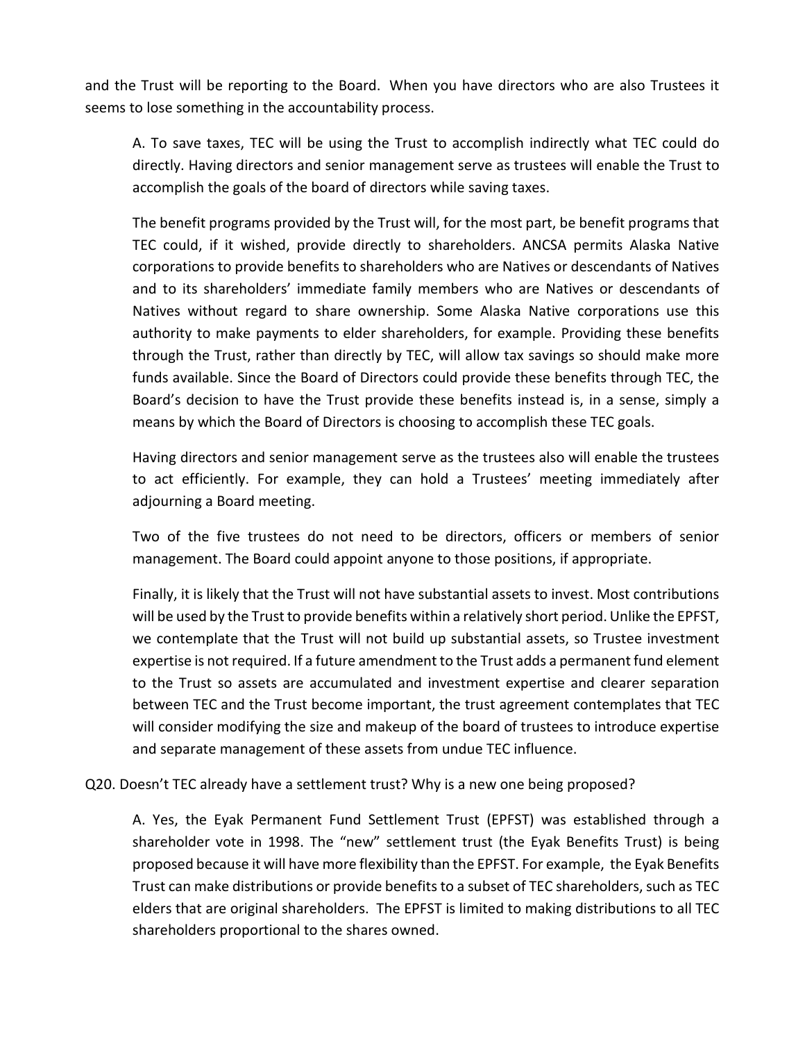and the Trust will be reporting to the Board. When you have directors who are also Trustees it seems to lose something in the accountability process.

A. To save taxes, TEC will be using the Trust to accomplish indirectly what TEC could do directly. Having directors and senior management serve as trustees will enable the Trust to accomplish the goals of the board of directors while saving taxes.

The benefit programs provided by the Trust will, for the most part, be benefit programs that TEC could, if it wished, provide directly to shareholders. ANCSA permits Alaska Native corporations to provide benefits to shareholders who are Natives or descendants of Natives and to its shareholders' immediate family members who are Natives or descendants of Natives without regard to share ownership. Some Alaska Native corporations use this authority to make payments to elder shareholders, for example. Providing these benefits through the Trust, rather than directly by TEC, will allow tax savings so should make more funds available. Since the Board of Directors could provide these benefits through TEC, the Board's decision to have the Trust provide these benefits instead is, in a sense, simply a means by which the Board of Directors is choosing to accomplish these TEC goals.

Having directors and senior management serve as the trustees also will enable the trustees to act efficiently. For example, they can hold a Trustees' meeting immediately after adjourning a Board meeting.

Two of the five trustees do not need to be directors, officers or members of senior management. The Board could appoint anyone to those positions, if appropriate.

Finally, it is likely that the Trust will not have substantial assets to invest. Most contributions will be used by the Trust to provide benefits within a relatively short period. Unlike the EPFST, we contemplate that the Trust will not build up substantial assets, so Trustee investment expertise is not required. If a future amendment to the Trust adds a permanent fund element to the Trust so assets are accumulated and investment expertise and clearer separation between TEC and the Trust become important, the trust agreement contemplates that TEC will consider modifying the size and makeup of the board of trustees to introduce expertise and separate management of these assets from undue TEC influence.

Q20. Doesn't TEC already have a settlement trust? Why is a new one being proposed?

A. Yes, the Eyak Permanent Fund Settlement Trust (EPFST) was established through a shareholder vote in 1998. The "new" settlement trust (the Eyak Benefits Trust) is being proposed because it will have more flexibility than the EPFST. For example, the Eyak Benefits Trust can make distributions or provide benefits to a subset of TEC shareholders, such as TEC elders that are original shareholders. The EPFST is limited to making distributions to all TEC shareholders proportional to the shares owned.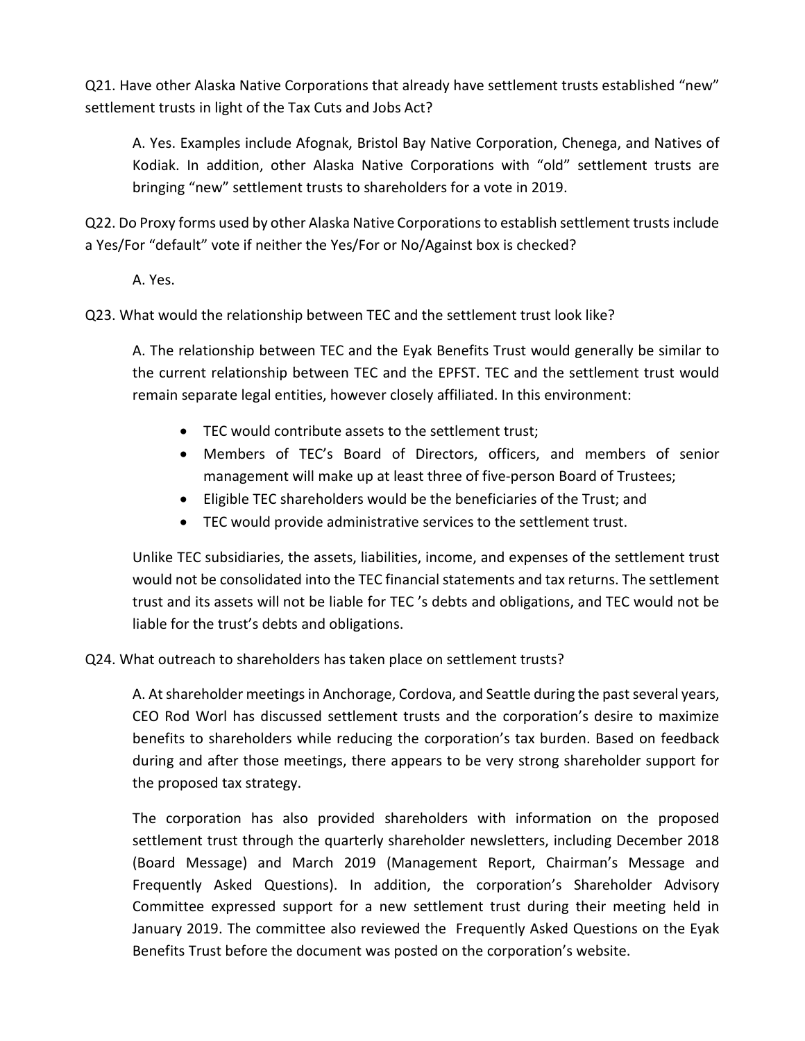Q21. Have other Alaska Native Corporations that already have settlement trusts established "new" settlement trusts in light of the Tax Cuts and Jobs Act?

A. Yes. Examples include Afognak, Bristol Bay Native Corporation, Chenega, and Natives of Kodiak. In addition, other Alaska Native Corporations with "old" settlement trusts are bringing "new" settlement trusts to shareholders for a vote in 2019.

Q22. Do Proxy forms used by other Alaska Native Corporations to establish settlement trusts include a Yes/For "default" vote if neither the Yes/For or No/Against box is checked?

A. Yes.

Q23. What would the relationship between TEC and the settlement trust look like?

A. The relationship between TEC and the Eyak Benefits Trust would generally be similar to the current relationship between TEC and the EPFST. TEC and the settlement trust would remain separate legal entities, however closely affiliated. In this environment:

- TEC would contribute assets to the settlement trust;
- Members of TEC's Board of Directors, officers, and members of senior management will make up at least three of five-person Board of Trustees;
- Eligible TEC shareholders would be the beneficiaries of the Trust; and
- TEC would provide administrative services to the settlement trust.

Unlike TEC subsidiaries, the assets, liabilities, income, and expenses of the settlement trust would not be consolidated into the TEC financial statements and tax returns. The settlement trust and its assets will not be liable for TEC 's debts and obligations, and TEC would not be liable for the trust's debts and obligations.

## Q24. What outreach to shareholders has taken place on settlement trusts?

A. At shareholder meetings in Anchorage, Cordova, and Seattle during the past several years, CEO Rod Worl has discussed settlement trusts and the corporation's desire to maximize benefits to shareholders while reducing the corporation's tax burden. Based on feedback during and after those meetings, there appears to be very strong shareholder support for the proposed tax strategy.

The corporation has also provided shareholders with information on the proposed settlement trust through the quarterly shareholder newsletters, including December 2018 (Board Message) and March 2019 (Management Report, Chairman's Message and Frequently Asked Questions). In addition, the corporation's Shareholder Advisory Committee expressed support for a new settlement trust during their meeting held in January 2019. The committee also reviewed the Frequently Asked Questions on the Eyak Benefits Trust before the document was posted on the corporation's website.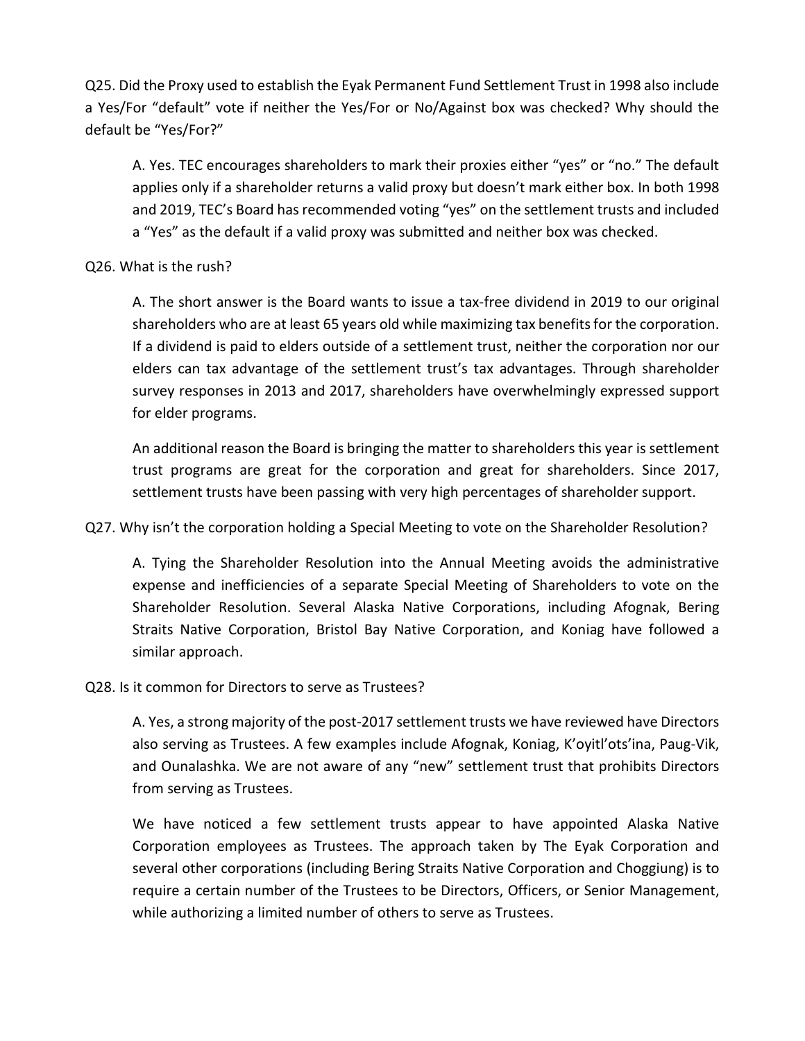Q25. Did the Proxy used to establish the Eyak Permanent Fund Settlement Trust in 1998 also include a Yes/For "default" vote if neither the Yes/For or No/Against box was checked? Why should the default be "Yes/For?"

A. Yes. TEC encourages shareholders to mark their proxies either "yes" or "no." The default applies only if a shareholder returns a valid proxy but doesn't mark either box. In both 1998 and 2019, TEC's Board has recommended voting "yes" on the settlement trusts and included a "Yes" as the default if a valid proxy was submitted and neither box was checked.

## Q26. What is the rush?

A. The short answer is the Board wants to issue a tax-free dividend in 2019 to our original shareholders who are at least 65 years old while maximizing tax benefits for the corporation. If a dividend is paid to elders outside of a settlement trust, neither the corporation nor our elders can tax advantage of the settlement trust's tax advantages. Through shareholder survey responses in 2013 and 2017, shareholders have overwhelmingly expressed support for elder programs.

An additional reason the Board is bringing the matter to shareholders this year is settlement trust programs are great for the corporation and great for shareholders. Since 2017, settlement trusts have been passing with very high percentages of shareholder support.

Q27. Why isn't the corporation holding a Special Meeting to vote on the Shareholder Resolution?

A. Tying the Shareholder Resolution into the Annual Meeting avoids the administrative expense and inefficiencies of a separate Special Meeting of Shareholders to vote on the Shareholder Resolution. Several Alaska Native Corporations, including Afognak, Bering Straits Native Corporation, Bristol Bay Native Corporation, and Koniag have followed a similar approach.

## Q28. Is it common for Directors to serve as Trustees?

A. Yes, a strong majority of the post-2017 settlement trusts we have reviewed have Directors also serving as Trustees. A few examples include Afognak, Koniag, K'oyitl'ots'ina, Paug-Vik, and Ounalashka. We are not aware of any "new" settlement trust that prohibits Directors from serving as Trustees.

We have noticed a few settlement trusts appear to have appointed Alaska Native Corporation employees as Trustees. The approach taken by The Eyak Corporation and several other corporations (including Bering Straits Native Corporation and Choggiung) is to require a certain number of the Trustees to be Directors, Officers, or Senior Management, while authorizing a limited number of others to serve as Trustees.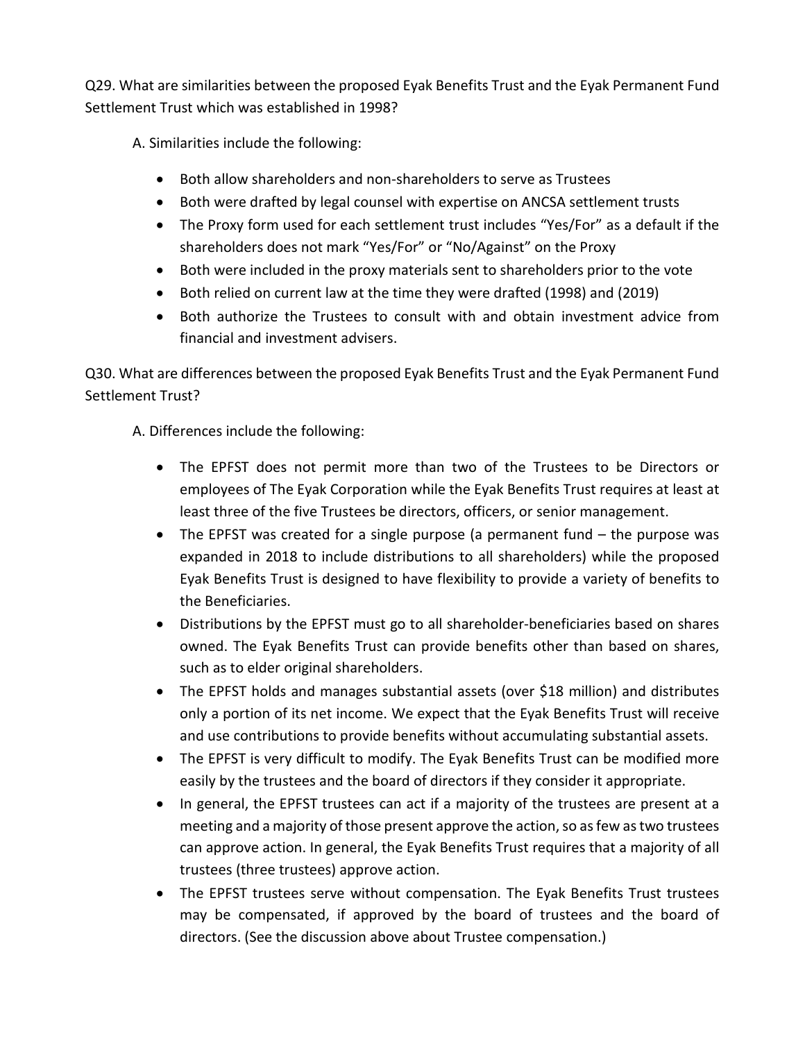Q29. What are similarities between the proposed Eyak Benefits Trust and the Eyak Permanent Fund Settlement Trust which was established in 1998?

A. Similarities include the following:

- Both allow shareholders and non-shareholders to serve as Trustees
- Both were drafted by legal counsel with expertise on ANCSA settlement trusts
- The Proxy form used for each settlement trust includes "Yes/For" as a default if the shareholders does not mark "Yes/For" or "No/Against" on the Proxy
- Both were included in the proxy materials sent to shareholders prior to the vote
- Both relied on current law at the time they were drafted (1998) and (2019)
- Both authorize the Trustees to consult with and obtain investment advice from financial and investment advisers.

Q30. What are differences between the proposed Eyak Benefits Trust and the Eyak Permanent Fund Settlement Trust?

A. Differences include the following:

- The EPFST does not permit more than two of the Trustees to be Directors or employees of The Eyak Corporation while the Eyak Benefits Trust requires at least at least three of the five Trustees be directors, officers, or senior management.
- The EPFST was created for a single purpose (a permanent fund the purpose was expanded in 2018 to include distributions to all shareholders) while the proposed Eyak Benefits Trust is designed to have flexibility to provide a variety of benefits to the Beneficiaries.
- Distributions by the EPFST must go to all shareholder-beneficiaries based on shares owned. The Eyak Benefits Trust can provide benefits other than based on shares, such as to elder original shareholders.
- The EPFST holds and manages substantial assets (over \$18 million) and distributes only a portion of its net income. We expect that the Eyak Benefits Trust will receive and use contributions to provide benefits without accumulating substantial assets.
- The EPFST is very difficult to modify. The Eyak Benefits Trust can be modified more easily by the trustees and the board of directors if they consider it appropriate.
- In general, the EPFST trustees can act if a majority of the trustees are present at a meeting and a majority of those present approve the action, so as few as two trustees can approve action. In general, the Eyak Benefits Trust requires that a majority of all trustees (three trustees) approve action.
- The EPFST trustees serve without compensation. The Eyak Benefits Trust trustees may be compensated, if approved by the board of trustees and the board of directors. (See the discussion above about Trustee compensation.)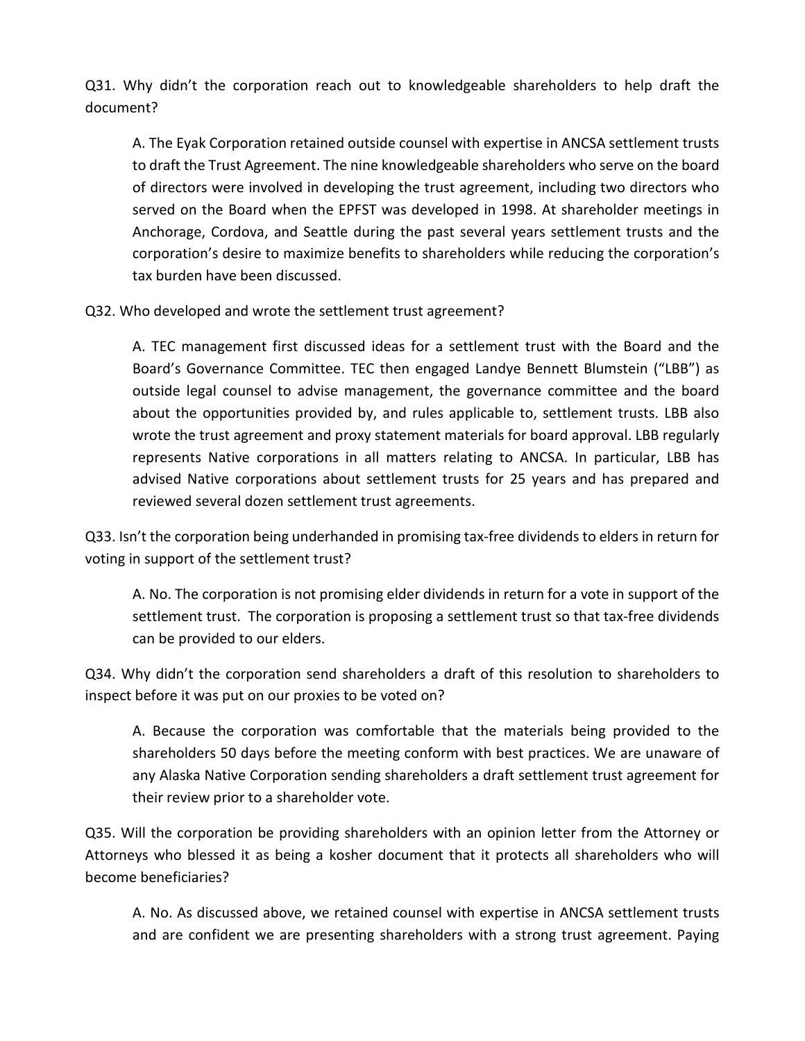Q31. Why didn't the corporation reach out to knowledgeable shareholders to help draft the document?

A. The Eyak Corporation retained outside counsel with expertise in ANCSA settlement trusts to draft the Trust Agreement. The nine knowledgeable shareholders who serve on the board of directors were involved in developing the trust agreement, including two directors who served on the Board when the EPFST was developed in 1998. At shareholder meetings in Anchorage, Cordova, and Seattle during the past several years settlement trusts and the corporation's desire to maximize benefits to shareholders while reducing the corporation's tax burden have been discussed.

Q32. Who developed and wrote the settlement trust agreement?

A. TEC management first discussed ideas for a settlement trust with the Board and the Board's Governance Committee. TEC then engaged Landye Bennett Blumstein ("LBB") as outside legal counsel to advise management, the governance committee and the board about the opportunities provided by, and rules applicable to, settlement trusts. LBB also wrote the trust agreement and proxy statement materials for board approval. LBB regularly represents Native corporations in all matters relating to ANCSA. In particular, LBB has advised Native corporations about settlement trusts for 25 years and has prepared and reviewed several dozen settlement trust agreements.

Q33. Isn't the corporation being underhanded in promising tax-free dividends to elders in return for voting in support of the settlement trust?

A. No. The corporation is not promising elder dividends in return for a vote in support of the settlement trust. The corporation is proposing a settlement trust so that tax-free dividends can be provided to our elders.

Q34. Why didn't the corporation send shareholders a draft of this resolution to shareholders to inspect before it was put on our proxies to be voted on?

A. Because the corporation was comfortable that the materials being provided to the shareholders 50 days before the meeting conform with best practices. We are unaware of any Alaska Native Corporation sending shareholders a draft settlement trust agreement for their review prior to a shareholder vote.

Q35. Will the corporation be providing shareholders with an opinion letter from the Attorney or Attorneys who blessed it as being a kosher document that it protects all shareholders who will become beneficiaries?

A. No. As discussed above, we retained counsel with expertise in ANCSA settlement trusts and are confident we are presenting shareholders with a strong trust agreement. Paying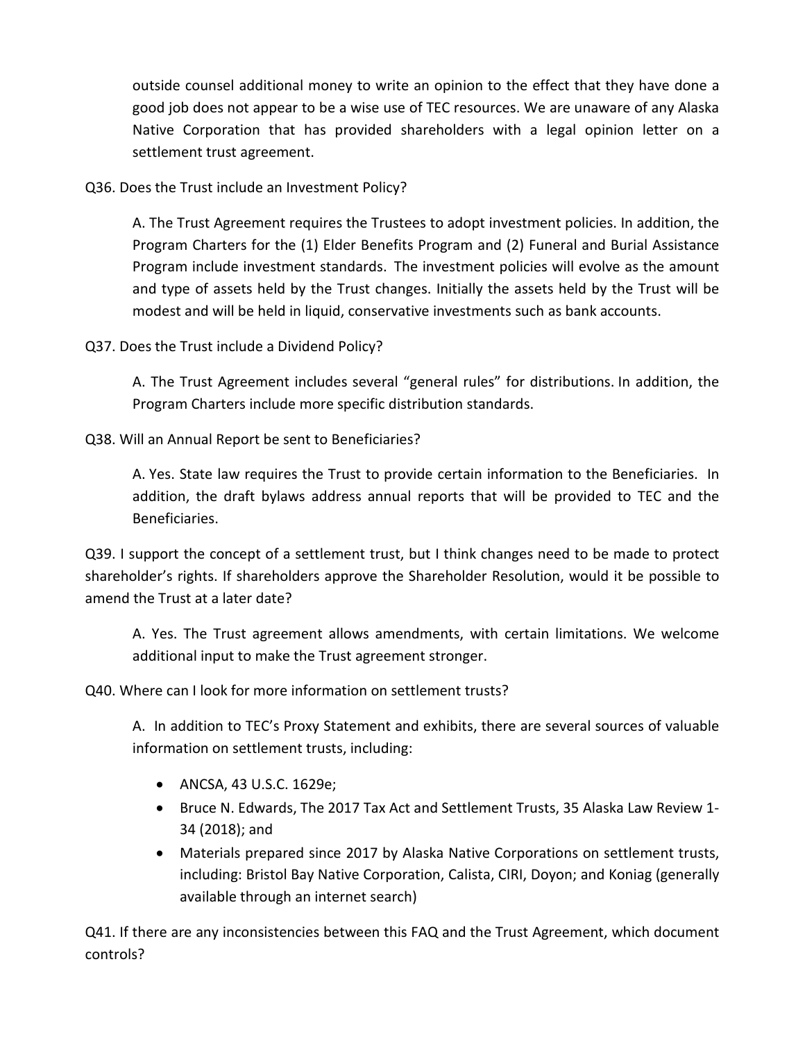outside counsel additional money to write an opinion to the effect that they have done a good job does not appear to be a wise use of TEC resources. We are unaware of any Alaska Native Corporation that has provided shareholders with a legal opinion letter on a settlement trust agreement.

Q36. Does the Trust include an Investment Policy?

A. The Trust Agreement requires the Trustees to adopt investment policies. In addition, the Program Charters for the (1) Elder Benefits Program and (2) Funeral and Burial Assistance Program include investment standards. The investment policies will evolve as the amount and type of assets held by the Trust changes. Initially the assets held by the Trust will be modest and will be held in liquid, conservative investments such as bank accounts.

Q37. Does the Trust include a Dividend Policy?

A. The Trust Agreement includes several "general rules" for distributions. In addition, the Program Charters include more specific distribution standards.

Q38. Will an Annual Report be sent to Beneficiaries?

A. Yes. State law requires the Trust to provide certain information to the Beneficiaries. In addition, the draft bylaws address annual reports that will be provided to TEC and the Beneficiaries.

Q39. I support the concept of a settlement trust, but I think changes need to be made to protect shareholder's rights. If shareholders approve the Shareholder Resolution, would it be possible to amend the Trust at a later date?

A. Yes. The Trust agreement allows amendments, with certain limitations. We welcome additional input to make the Trust agreement stronger.

Q40. Where can I look for more information on settlement trusts?

A. In addition to TEC's Proxy Statement and exhibits, there are several sources of valuable information on settlement trusts, including:

- ANCSA, 43 U.S.C. 1629e;
- Bruce N. Edwards, The 2017 Tax Act and Settlement Trusts, 35 Alaska Law Review 1- 34 (2018); and
- Materials prepared since 2017 by Alaska Native Corporations on settlement trusts, including: Bristol Bay Native Corporation, Calista, CIRI, Doyon; and Koniag (generally available through an internet search)

Q41. If there are any inconsistencies between this FAQ and the Trust Agreement, which document controls?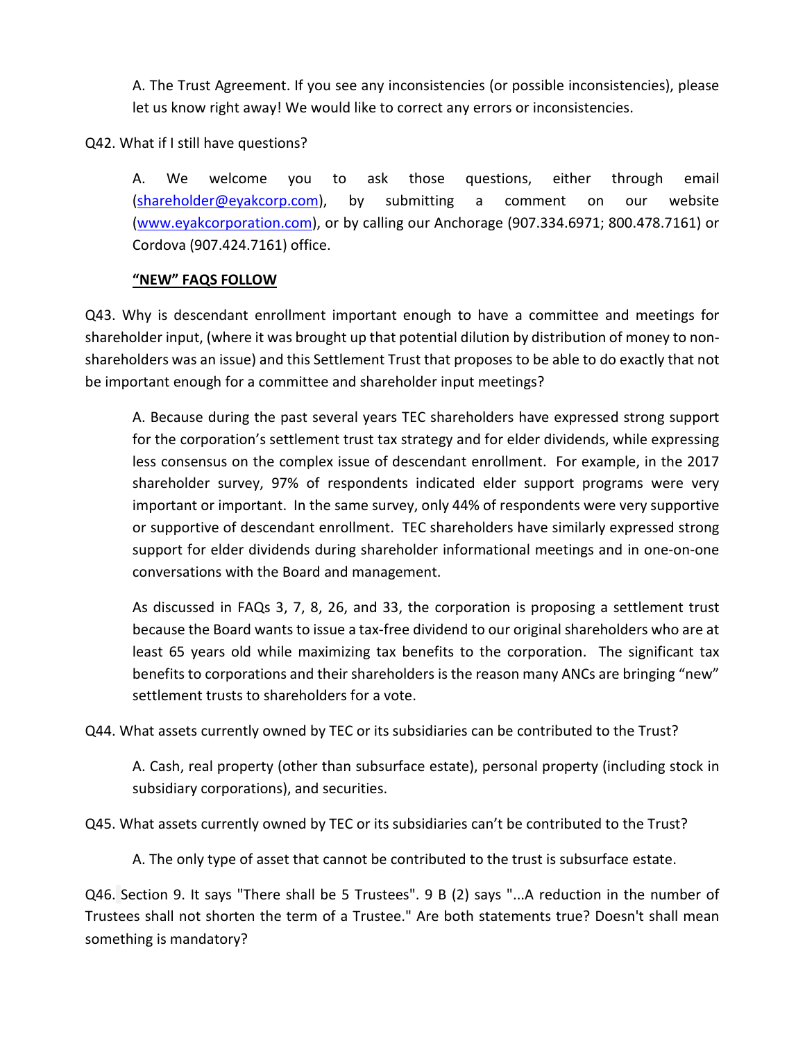A. The Trust Agreement. If you see any inconsistencies (or possible inconsistencies), please let us know right away! We would like to correct any errors or inconsistencies.

Q42. What if I still have questions?

A. We welcome you to ask those questions, either through email [\(shareholder@eyakcorp.com\)](mailto:shareholder@eyakcorp.com), by submitting a comment on our website [\(www.eyakcorporation.com\)](http://www.eyakcorporation.com/), or by calling our Anchorage (907.334.6971; 800.478.7161) or Cordova (907.424.7161) office.

### **"NEW" FAQS FOLLOW**

Q43. Why is descendant enrollment important enough to have a committee and meetings for shareholder input, (where it was brought up that potential dilution by distribution of money to nonshareholders was an issue) and this Settlement Trust that proposes to be able to do exactly that not be important enough for a committee and shareholder input meetings?

A. Because during the past several years TEC shareholders have expressed strong support for the corporation's settlement trust tax strategy and for elder dividends, while expressing less consensus on the complex issue of descendant enrollment. For example, in the 2017 shareholder survey, 97% of respondents indicated elder support programs were very important or important. In the same survey, only 44% of respondents were very supportive or supportive of descendant enrollment. TEC shareholders have similarly expressed strong support for elder dividends during shareholder informational meetings and in one-on-one conversations with the Board and management.

As discussed in FAQs 3, 7, 8, 26, and 33, the corporation is proposing a settlement trust because the Board wants to issue a tax-free dividend to our original shareholders who are at least 65 years old while maximizing tax benefits to the corporation. The significant tax benefits to corporations and their shareholders is the reason many ANCs are bringing "new" settlement trusts to shareholders for a vote.

Q44. What assets currently owned by TEC or its subsidiaries can be contributed to the Trust?

A. Cash, real property (other than subsurface estate), personal property (including stock in subsidiary corporations), and securities.

Q45. What assets currently owned by TEC or its subsidiaries can't be contributed to the Trust?

A. The only type of asset that cannot be contributed to the trust is subsurface estate.

Q46. Section 9. It says "There shall be 5 Trustees". 9 B (2) says "...A reduction in the number of Trustees shall not shorten the term of a Trustee." Are both statements true? Doesn't shall mean something is mandatory?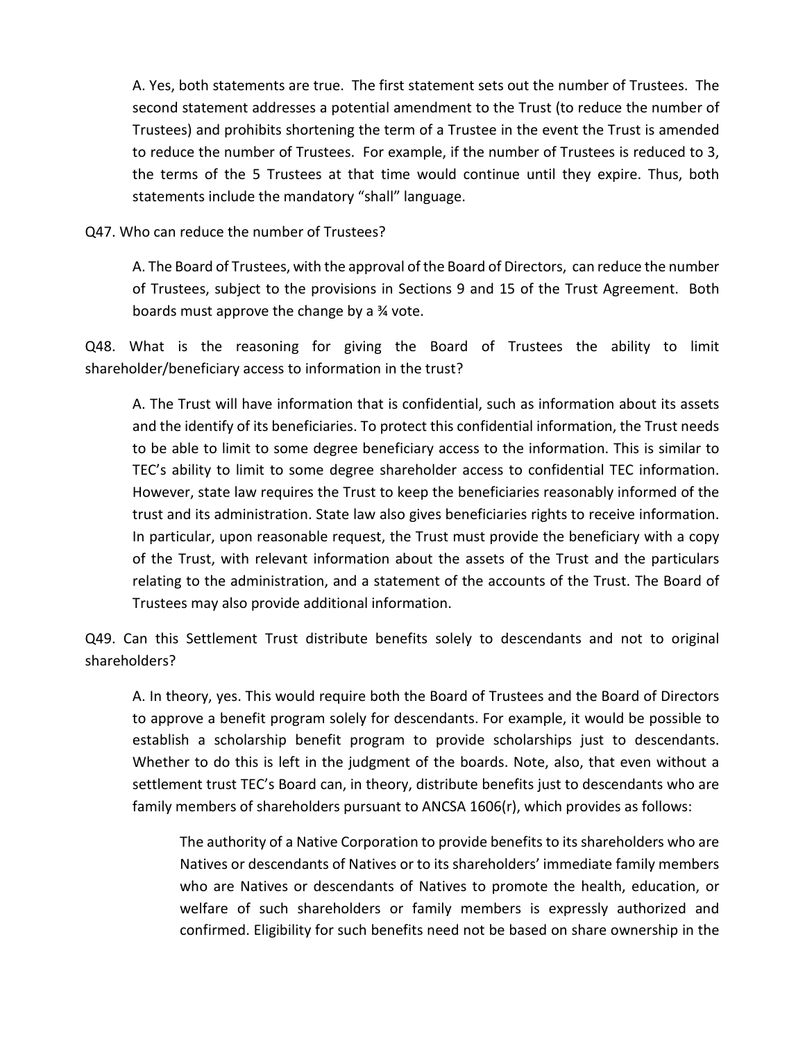A. Yes, both statements are true. The first statement sets out the number of Trustees. The second statement addresses a potential amendment to the Trust (to reduce the number of Trustees) and prohibits shortening the term of a Trustee in the event the Trust is amended to reduce the number of Trustees. For example, if the number of Trustees is reduced to 3, the terms of the 5 Trustees at that time would continue until they expire. Thus, both statements include the mandatory "shall" language.

Q47. Who can reduce the number of Trustees?

A. The Board of Trustees, with the approval of the Board of Directors, can reduce the number of Trustees, subject to the provisions in Sections 9 and 15 of the Trust Agreement. Both boards must approve the change by a ¾ vote.

Q48. What is the reasoning for giving the Board of Trustees the ability to limit shareholder/beneficiary access to information in the trust?

A. The Trust will have information that is confidential, such as information about its assets and the identify of its beneficiaries. To protect this confidential information, the Trust needs to be able to limit to some degree beneficiary access to the information. This is similar to TEC's ability to limit to some degree shareholder access to confidential TEC information. However, state law requires the Trust to keep the beneficiaries reasonably informed of the trust and its administration. State law also gives beneficiaries rights to receive information. In particular, upon reasonable request, the Trust must provide the beneficiary with a copy of the Trust, with relevant information about the assets of the Trust and the particulars relating to the administration, and a statement of the accounts of the Trust. The Board of Trustees may also provide additional information.

Q49. Can this Settlement Trust distribute benefits solely to descendants and not to original shareholders?

A. In theory, yes. This would require both the Board of Trustees and the Board of Directors to approve a benefit program solely for descendants. For example, it would be possible to establish a scholarship benefit program to provide scholarships just to descendants. Whether to do this is left in the judgment of the boards. Note, also, that even without a settlement trust TEC's Board can, in theory, distribute benefits just to descendants who are family members of shareholders pursuant to ANCSA 1606(r), which provides as follows:

The authority of a Native Corporation to provide benefits to its shareholders who are Natives or descendants of Natives or to its shareholders' immediate family members who are Natives or descendants of Natives to promote the health, education, or welfare of such shareholders or family members is expressly authorized and confirmed. Eligibility for such benefits need not be based on share ownership in the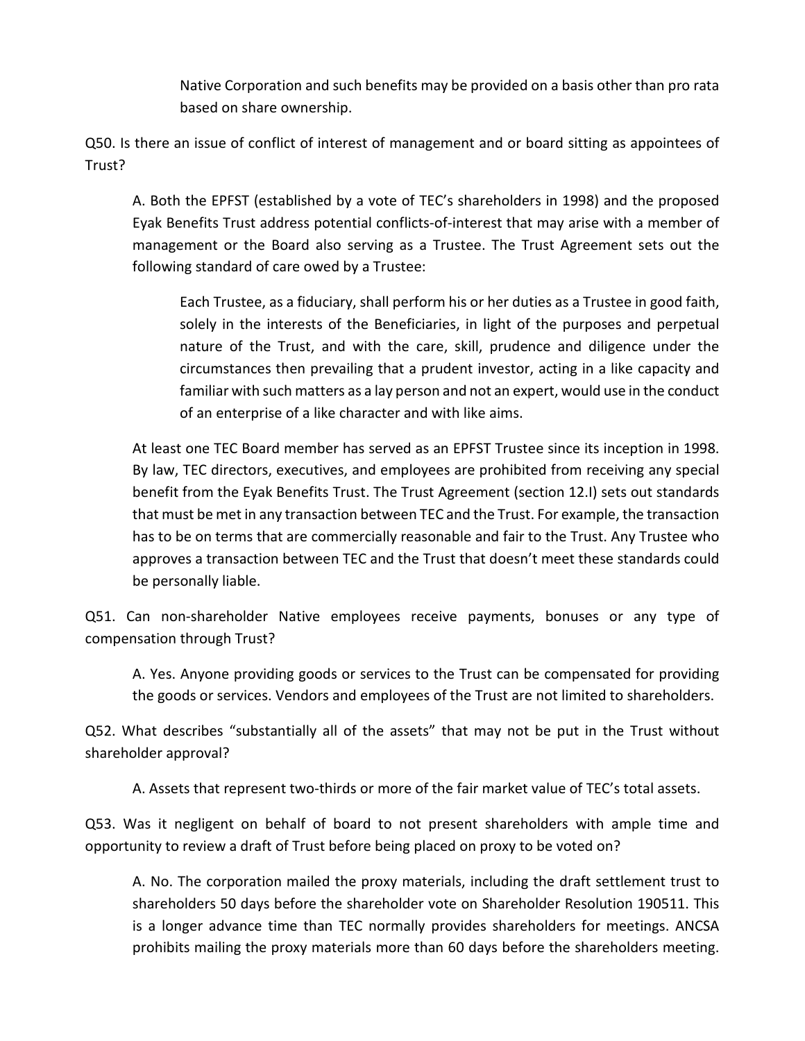Native Corporation and such benefits may be provided on a basis other than pro rata based on share ownership.

Q50. Is there an issue of conflict of interest of management and or board sitting as appointees of Trust?

A. Both the EPFST (established by a vote of TEC's shareholders in 1998) and the proposed Eyak Benefits Trust address potential conflicts-of-interest that may arise with a member of management or the Board also serving as a Trustee. The Trust Agreement sets out the following standard of care owed by a Trustee:

Each Trustee, as a fiduciary, shall perform his or her duties as a Trustee in good faith, solely in the interests of the Beneficiaries, in light of the purposes and perpetual nature of the Trust, and with the care, skill, prudence and diligence under the circumstances then prevailing that a prudent investor, acting in a like capacity and familiar with such matters as a lay person and not an expert, would use in the conduct of an enterprise of a like character and with like aims.

At least one TEC Board member has served as an EPFST Trustee since its inception in 1998. By law, TEC directors, executives, and employees are prohibited from receiving any special benefit from the Eyak Benefits Trust. The Trust Agreement (section 12.I) sets out standards that must be met in any transaction between TEC and the Trust. For example, the transaction has to be on terms that are commercially reasonable and fair to the Trust. Any Trustee who approves a transaction between TEC and the Trust that doesn't meet these standards could be personally liable.

Q51. Can non-shareholder Native employees receive payments, bonuses or any type of compensation through Trust?

A. Yes. Anyone providing goods or services to the Trust can be compensated for providing the goods or services. Vendors and employees of the Trust are not limited to shareholders.

Q52. What describes "substantially all of the assets" that may not be put in the Trust without shareholder approval?

A. Assets that represent two-thirds or more of the fair market value of TEC's total assets.

Q53. Was it negligent on behalf of board to not present shareholders with ample time and opportunity to review a draft of Trust before being placed on proxy to be voted on?

A. No. The corporation mailed the proxy materials, including the draft settlement trust to shareholders 50 days before the shareholder vote on Shareholder Resolution 190511. This is a longer advance time than TEC normally provides shareholders for meetings. ANCSA prohibits mailing the proxy materials more than 60 days before the shareholders meeting.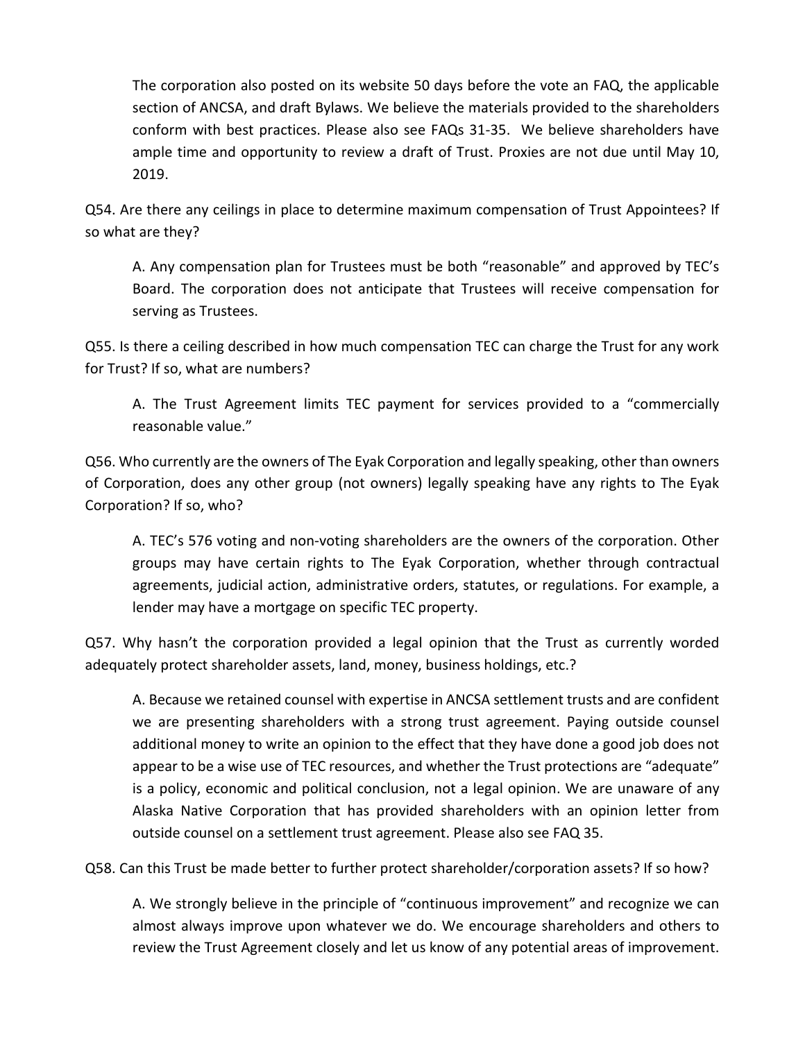The corporation also posted on its website 50 days before the vote an FAQ, the applicable section of ANCSA, and draft Bylaws. We believe the materials provided to the shareholders conform with best practices. Please also see FAQs 31-35. We believe shareholders have ample time and opportunity to review a draft of Trust. Proxies are not due until May 10, 2019.

Q54. Are there any ceilings in place to determine maximum compensation of Trust Appointees? If so what are they?

A. Any compensation plan for Trustees must be both "reasonable" and approved by TEC's Board. The corporation does not anticipate that Trustees will receive compensation for serving as Trustees.

Q55. Is there a ceiling described in how much compensation TEC can charge the Trust for any work for Trust? If so, what are numbers?

A. The Trust Agreement limits TEC payment for services provided to a "commercially reasonable value."

Q56. Who currently are the owners of The Eyak Corporation and legally speaking, other than owners of Corporation, does any other group (not owners) legally speaking have any rights to The Eyak Corporation? If so, who?

A. TEC's 576 voting and non-voting shareholders are the owners of the corporation. Other groups may have certain rights to The Eyak Corporation, whether through contractual agreements, judicial action, administrative orders, statutes, or regulations. For example, a lender may have a mortgage on specific TEC property.

Q57. Why hasn't the corporation provided a legal opinion that the Trust as currently worded adequately protect shareholder assets, land, money, business holdings, etc.?

A. Because we retained counsel with expertise in ANCSA settlement trusts and are confident we are presenting shareholders with a strong trust agreement. Paying outside counsel additional money to write an opinion to the effect that they have done a good job does not appear to be a wise use of TEC resources, and whether the Trust protections are "adequate" is a policy, economic and political conclusion, not a legal opinion. We are unaware of any Alaska Native Corporation that has provided shareholders with an opinion letter from outside counsel on a settlement trust agreement. Please also see FAQ 35.

Q58. Can this Trust be made better to further protect shareholder/corporation assets? If so how?

A. We strongly believe in the principle of "continuous improvement" and recognize we can almost always improve upon whatever we do. We encourage shareholders and others to review the Trust Agreement closely and let us know of any potential areas of improvement.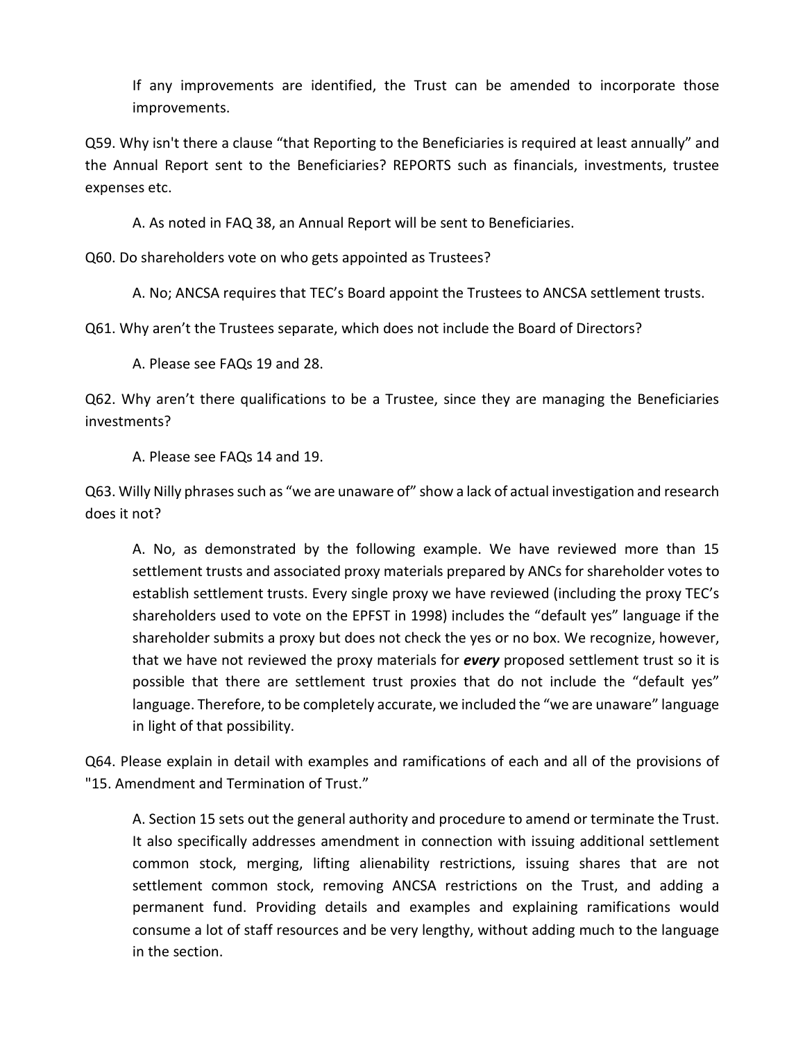If any improvements are identified, the Trust can be amended to incorporate those improvements.

Q59. Why isn't there a clause "that Reporting to the Beneficiaries is required at least annually" and the Annual Report sent to the Beneficiaries? REPORTS such as financials, investments, trustee expenses etc.

A. As noted in FAQ 38, an Annual Report will be sent to Beneficiaries.

Q60. Do shareholders vote on who gets appointed as Trustees?

A. No; ANCSA requires that TEC's Board appoint the Trustees to ANCSA settlement trusts.

Q61. Why aren't the Trustees separate, which does not include the Board of Directors?

A. Please see FAQs 19 and 28.

Q62. Why aren't there qualifications to be a Trustee, since they are managing the Beneficiaries investments?

A. Please see FAQs 14 and 19.

Q63. Willy Nilly phrases such as "we are unaware of" show a lack of actual investigation and research does it not?

A. No, as demonstrated by the following example. We have reviewed more than 15 settlement trusts and associated proxy materials prepared by ANCs for shareholder votes to establish settlement trusts. Every single proxy we have reviewed (including the proxy TEC's shareholders used to vote on the EPFST in 1998) includes the "default yes" language if the shareholder submits a proxy but does not check the yes or no box. We recognize, however, that we have not reviewed the proxy materials for *every* proposed settlement trust so it is possible that there are settlement trust proxies that do not include the "default yes" language. Therefore, to be completely accurate, we included the "we are unaware" language in light of that possibility.

Q64. Please explain in detail with examples and ramifications of each and all of the provisions of "15. Amendment and Termination of Trust."

A. Section 15 sets out the general authority and procedure to amend or terminate the Trust. It also specifically addresses amendment in connection with issuing additional settlement common stock, merging, lifting alienability restrictions, issuing shares that are not settlement common stock, removing ANCSA restrictions on the Trust, and adding a permanent fund. Providing details and examples and explaining ramifications would consume a lot of staff resources and be very lengthy, without adding much to the language in the section.